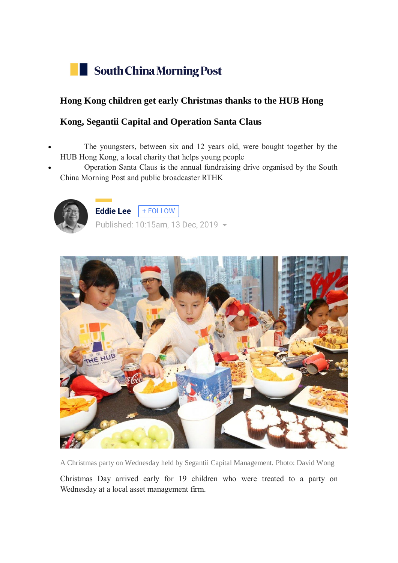

## **Hong Kong children get early Christmas thanks to the HUB Hong**

## **Kong, Segantii Capital and Operation Santa Claus**

- The youngsters, between six and 12 years old, were bought together by the HUB Hong Kong, a local charity that helps young people
- Operation Santa Claus is the annual fundraising drive organised by the South China Morning Post and public broadcaster RTHK



Eddie Lee  $F + FOLLOW$ Published: 10:15am, 13 Dec, 2019 -



A Christmas party on Wednesday held by Segantii Capital Management. Photo: David Wong

Christmas Day arrived early for 19 children who were treated to a party on Wednesday at a local asset management firm.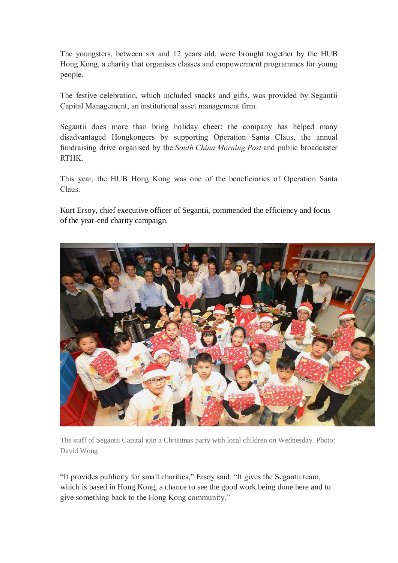The youngsters, between six and 12 years old, were brought together by the HUB Hong Kong, a charity that organises classes and empowerment programmes for young people.

The festive celebration, which included snacks and gifts, was provided by Segantii Capital Management, an institutional asset management firm.

Segantii does more than bring holiday cheer: the company has helped many disadvantaged Hongkongers by supporting Operation Santa Claus, the annual fundraising drive organised by the *South China Morning Post* and public broadcaster RTHK.

This year, the HUB Hong Kong was one of the beneficiaries of Operation Santa Claus.

Kurt Ersoy, chief executive officer of Segantii, commended the efficiency and focus of the year-end charity campaign.



The staff of Segantii Capital join a Christmas party with local children on Wednesday. Photo: David Wong

"It provides publicity for small charities," Ersoy said. "It gives the Segantii team, which is based in Hong Kong, a chance to see the good work being done here and to give something back to the Hong Kong community."